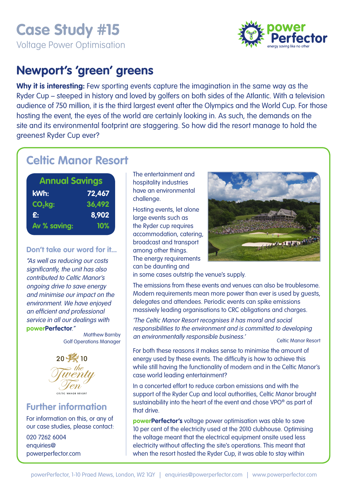# **Case Study #15**  Voltage Power Optimisation



## **Newport's 'green' greens**

**Why it is interesting:** Few sporting events capture the imagination in the same way as the Ryder Cup – steeped in history and loved by golfers on both sides of the Atlantic. With a television audience of 750 million, it is the third largest event after the Olympics and the World Cup. For those hosting the event, the eyes of the world are certainly looking in. As such, the demands on the site and its environmental footprint are staggering. So how did the resort manage to hold the greenest Ryder Cup ever?

## **Celtic Manor Resort**

| <b>Annual Savings</b> |        |
|-----------------------|--------|
| kWh:                  | 72,467 |
| $CO2$ kg:             | 36,492 |
| £.                    | 8,902  |
| Av % saving:          | 10%    |

#### **Don't take our word for it...**

"As well as reducing our costs significantly, the unit has also contributed to Celtic Manor's ongoing drive to save energy and minimise our impact on the environment. We have enjoyed an efficient and professional service in all our dealings with **powerPerfector**."

Matthew Barnby Golf Operations Manager



### **Further information**

For information on this, or any of our case studies, please contact:

020 7262 6004 enquiries@ powerperfector.com The entertainment and hospitality industries have an environmental challenge.

Hosting events, let alone large events such as the Ryder cup requires accommodation, catering, broadcast and transport among other things. The energy requirements can be daunting and



in some cases outstrip the venue's supply.

The emissions from these events and venues can also be troublesome. Modern requirements mean more power than ever is used by guests, delegates and attendees. Periodic events can spike emissions massively leading organisations to CRC obligations and charges.

'The Celtic Manor Resort recognises it has moral and social responsibilities to the environment and is committed to developing an environmentally responsible business.' Celtic Manor Resort

For both these reasons it makes sense to minimise the amount of energy used by these events. The difficulty is how to achieve this while still having the functionality of modern and in the Celtic Manor's case world leading entertainment?

In a concerted effort to reduce carbon emissions and with the support of the Ryder Cup and local authorities, Celtic Manor brought sustainability into the heart of the event and chose VPO® as part of that drive.

**powerPerfector's** voltage power optimisation was able to save 10 per cent of the electricity used at the 2010 clubhouse. Optimising the voltage meant that the electrical equipment onsite used less electricity without affecting the site's operations. This meant that when the resort hosted the Ryder Cup, it was able to stay within